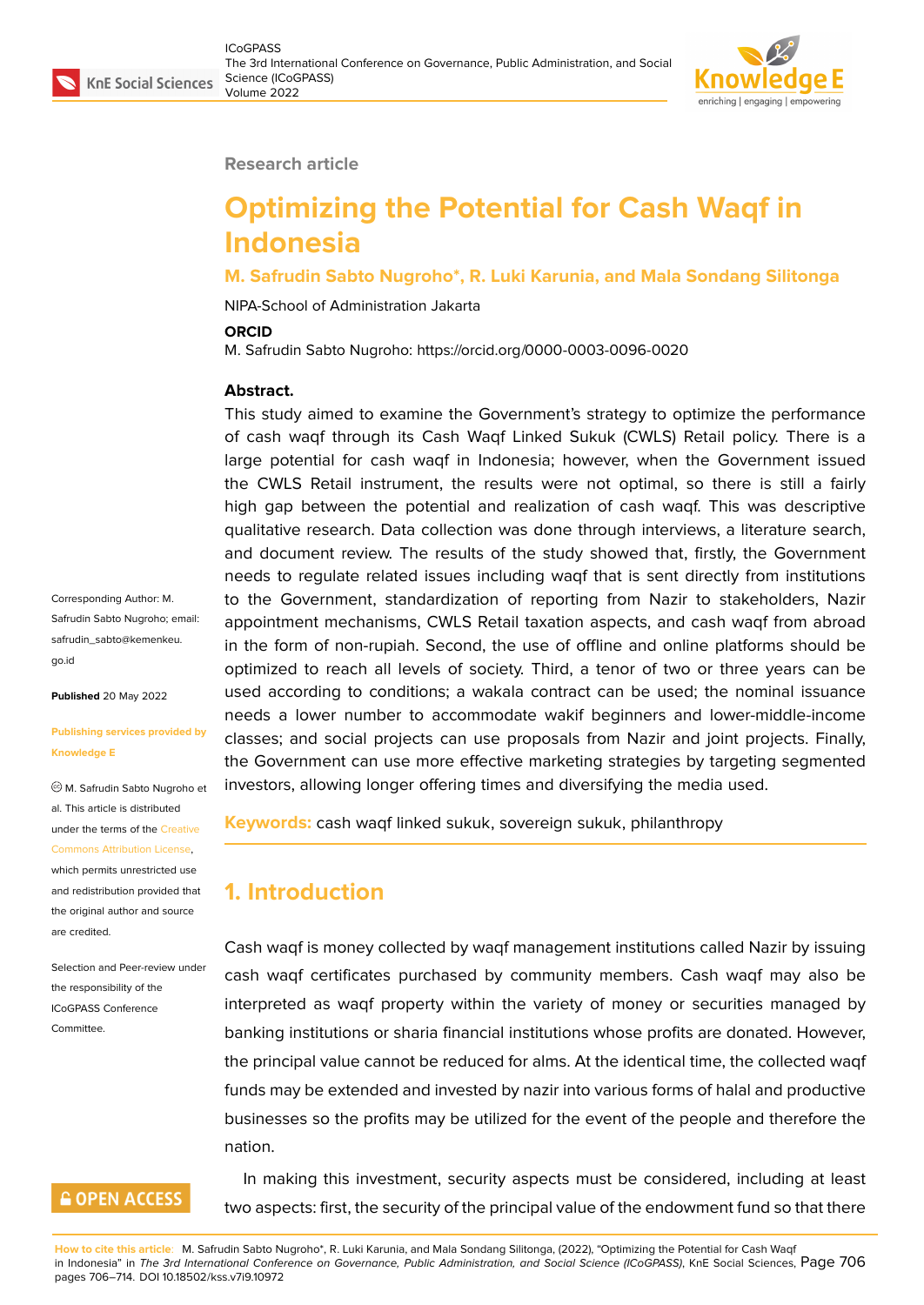

#### **Research article**

# **Optimizing the Potential for Cash Waqf in Indonesia**

#### **M. Safrudin Sabto Nugroho\*, R. Luki Karunia, and Mala Sondang Silitonga**

NIPA-School of Administration Jakarta

#### **ORCID**

M. Safrudin Sabto Nugroho: https://orcid.org/0000-0003-0096-0020

#### **Abstract.**

This study aimed to examine the Government's strategy to optimize the performance of cash waqf through its Cash Waqf Linked Sukuk (CWLS) Retail policy. There is a large potential for cash waqf in Indonesia; however, when the Government issued the CWLS Retail instrument, the results were not optimal, so there is still a fairly high gap between the potential and realization of cash waqf. This was descriptive qualitative research. Data collection was done through interviews, a literature search, and document review. The results of the study showed that, firstly, the Government needs to regulate related issues including waqf that is sent directly from institutions to the Government, standardization of reporting from Nazir to stakeholders, Nazir appointment mechanisms, CWLS Retail taxation aspects, and cash waqf from abroad in the form of non-rupiah. Second, the use of offline and online platforms should be optimized to reach all levels of society. Third, a tenor of two or three years can be used according to conditions; a wakala contract can be used; the nominal issuance needs a lower number to accommodate wakif beginners and lower-middle-income classes; and social projects can use proposals from Nazir and joint projects. Finally, the Government can use more effective marketing strategies by targeting segmented investors, allowing longer offering times and diversifying the media used.

**Keywords:** cash waqf linked sukuk, sovereign sukuk, philanthropy

## **1. Introduction**

Cash waqf is money collected by waqf management institutions called Nazir by issuing cash waqf certificates purchased by community members. Cash waqf may also be interpreted as waqf property within the variety of money or securities managed by banking institutions or sharia financial institutions whose profits are donated. However, the principal value cannot be reduced for alms. At the identical time, the collected waqf funds may be extended and invested by nazir into various forms of halal and productive businesses so the profits may be utilized for the event of the people and therefore the nation.

In making this investment, security aspects must be considered, including at least two aspects: first, the security of the principal value of the endowment fund so that there

Corresponding Author: M. Safrudin Sabto Nugroho; email: safrudin\_sabto@kemenkeu. go.id

**Published** 20 May 2022

#### **[Publi](mailto:safrudin_sabto@kemenkeu.go.id)shing services provided by Knowledge E**

M. Safrudin Sabto Nugroho et al. This article is distributed under the terms of the Creative

#### Commons Attribution License,

which permits unrestricted use and redistribution provided that the original author and [source](https://creativecommons.org/licenses/by/4.0/) [are credited.](https://creativecommons.org/licenses/by/4.0/)

Selection and Peer-review under the responsibility of the ICoGPASS Conference **Committee** 

### **GOPEN ACCESS**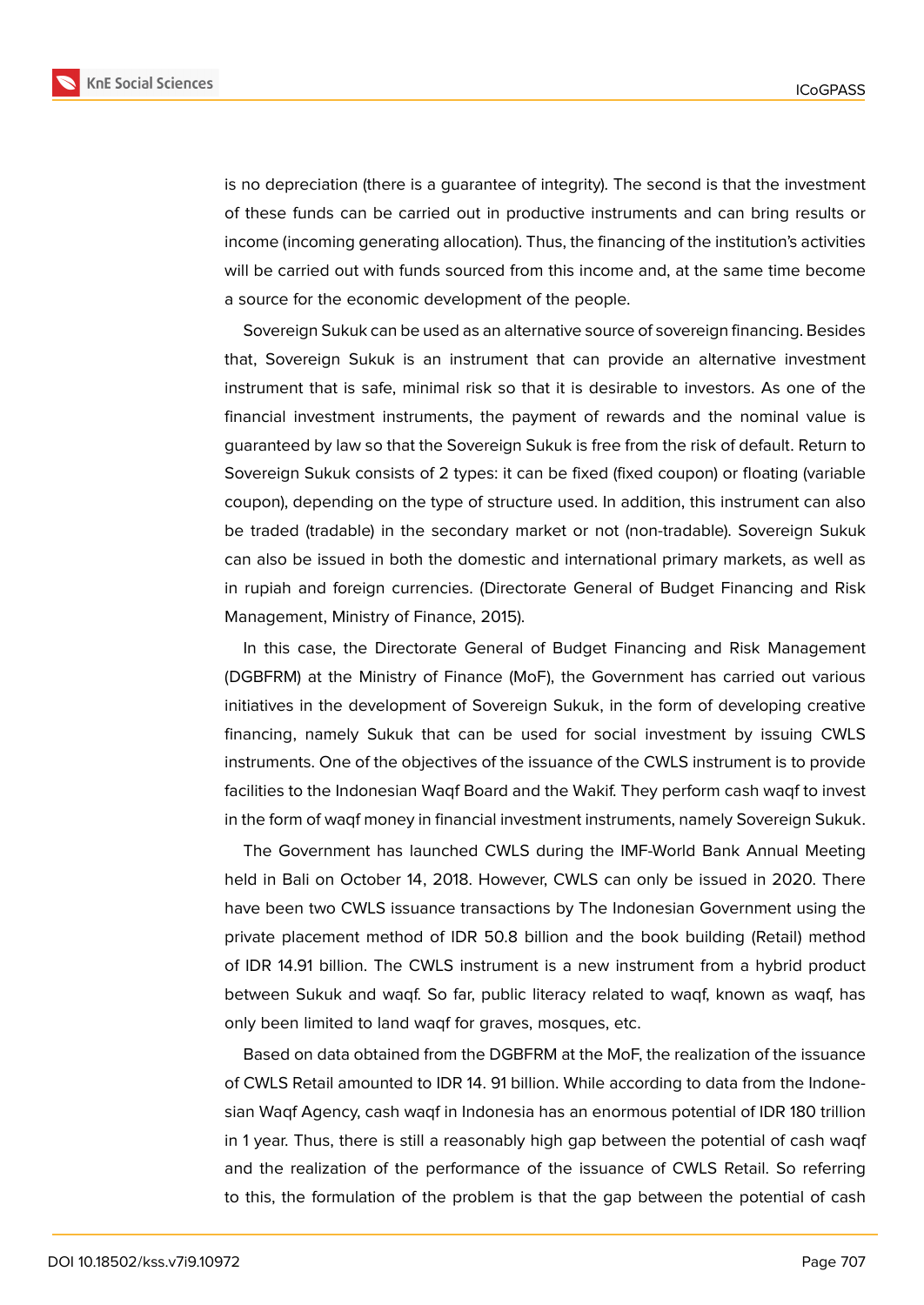

is no depreciation (there is a guarantee of integrity). The second is that the investment of these funds can be carried out in productive instruments and can bring results or income (incoming generating allocation). Thus, the financing of the institution's activities will be carried out with funds sourced from this income and, at the same time become a source for the economic development of the people.

Sovereign Sukuk can be used as an alternative source of sovereign financing. Besides that, Sovereign Sukuk is an instrument that can provide an alternative investment instrument that is safe, minimal risk so that it is desirable to investors. As one of the financial investment instruments, the payment of rewards and the nominal value is guaranteed by law so that the Sovereign Sukuk is free from the risk of default. Return to Sovereign Sukuk consists of 2 types: it can be fixed (fixed coupon) or floating (variable coupon), depending on the type of structure used. In addition, this instrument can also be traded (tradable) in the secondary market or not (non-tradable). Sovereign Sukuk can also be issued in both the domestic and international primary markets, as well as in rupiah and foreign currencies. (Directorate General of Budget Financing and Risk Management, Ministry of Finance, 2015).

In this case, the Directorate General of Budget Financing and Risk Management (DGBFRM) at the Ministry of Finance (MoF), the Government has carried out various initiatives in the development of Sovereign Sukuk, in the form of developing creative financing, namely Sukuk that can be used for social investment by issuing CWLS instruments. One of the objectives of the issuance of the CWLS instrument is to provide facilities to the Indonesian Waqf Board and the Wakif. They perform cash waqf to invest in the form of waqf money in financial investment instruments, namely Sovereign Sukuk.

The Government has launched CWLS during the IMF-World Bank Annual Meeting held in Bali on October 14, 2018. However, CWLS can only be issued in 2020. There have been two CWLS issuance transactions by The Indonesian Government using the private placement method of IDR 50.8 billion and the book building (Retail) method of IDR 14.91 billion. The CWLS instrument is a new instrument from a hybrid product between Sukuk and waqf. So far, public literacy related to waqf, known as waqf, has only been limited to land waqf for graves, mosques, etc.

Based on data obtained from the DGBFRM at the MoF, the realization of the issuance of CWLS Retail amounted to IDR 14. 91 billion. While according to data from the Indonesian Waqf Agency, cash waqf in Indonesia has an enormous potential of IDR 180 trillion in 1 year. Thus, there is still a reasonably high gap between the potential of cash waqf and the realization of the performance of the issuance of CWLS Retail. So referring to this, the formulation of the problem is that the gap between the potential of cash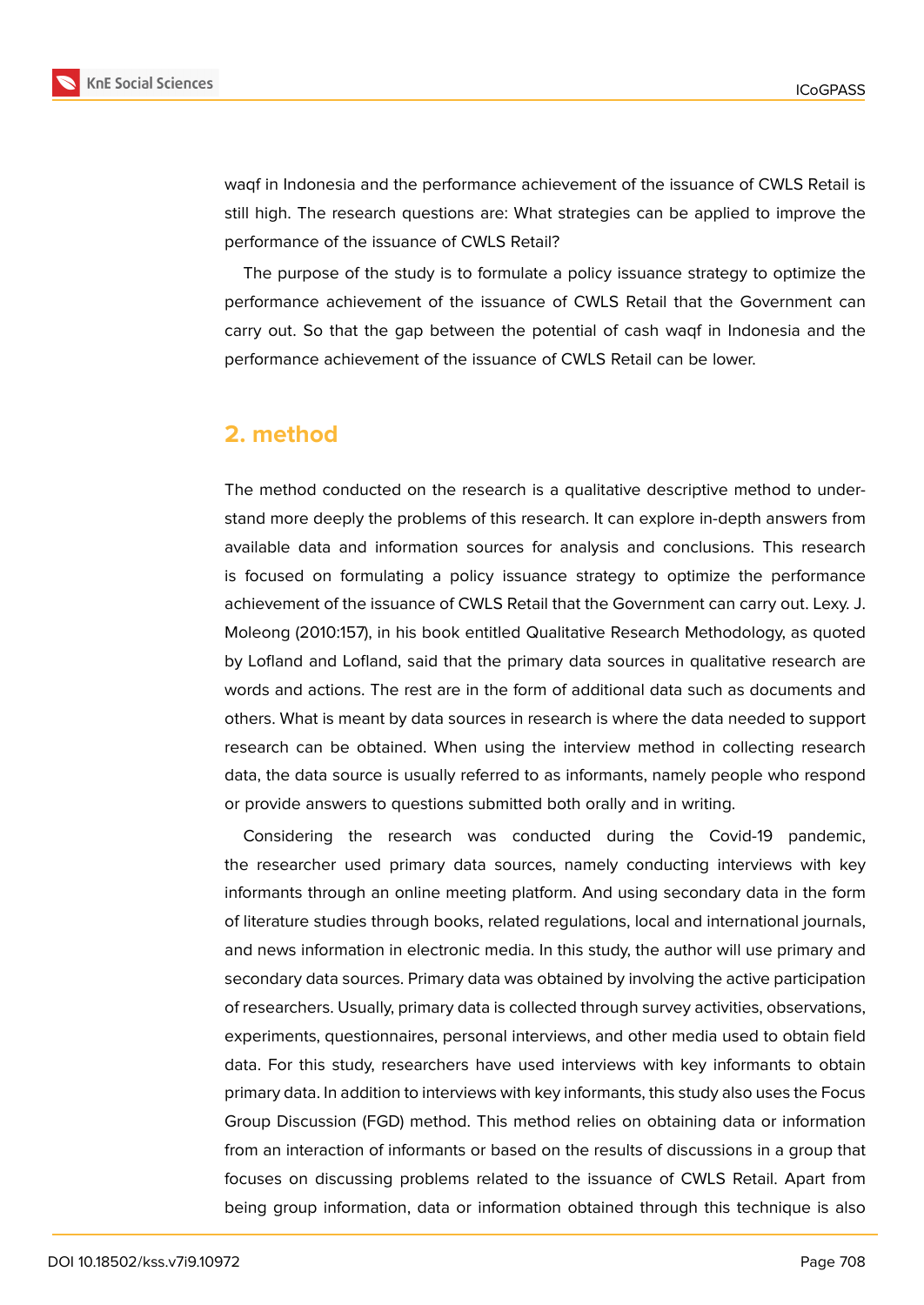

waqf in Indonesia and the performance achievement of the issuance of CWLS Retail is still high. The research questions are: What strategies can be applied to improve the performance of the issuance of CWLS Retail?

The purpose of the study is to formulate a policy issuance strategy to optimize the performance achievement of the issuance of CWLS Retail that the Government can carry out. So that the gap between the potential of cash waqf in Indonesia and the performance achievement of the issuance of CWLS Retail can be lower.

## **2. method**

The method conducted on the research is a qualitative descriptive method to understand more deeply the problems of this research. It can explore in-depth answers from available data and information sources for analysis and conclusions. This research is focused on formulating a policy issuance strategy to optimize the performance achievement of the issuance of CWLS Retail that the Government can carry out. Lexy. J. Moleong (2010:157), in his book entitled Qualitative Research Methodology, as quoted by Lofland and Lofland, said that the primary data sources in qualitative research are words and actions. The rest are in the form of additional data such as documents and others. What is meant by data sources in research is where the data needed to support research can be obtained. When using the interview method in collecting research data, the data source is usually referred to as informants, namely people who respond or provide answers to questions submitted both orally and in writing.

Considering the research was conducted during the Covid-19 pandemic, the researcher used primary data sources, namely conducting interviews with key informants through an online meeting platform. And using secondary data in the form of literature studies through books, related regulations, local and international journals, and news information in electronic media. In this study, the author will use primary and secondary data sources. Primary data was obtained by involving the active participation of researchers. Usually, primary data is collected through survey activities, observations, experiments, questionnaires, personal interviews, and other media used to obtain field data. For this study, researchers have used interviews with key informants to obtain primary data. In addition to interviews with key informants, this study also uses the Focus Group Discussion (FGD) method. This method relies on obtaining data or information from an interaction of informants or based on the results of discussions in a group that focuses on discussing problems related to the issuance of CWLS Retail. Apart from being group information, data or information obtained through this technique is also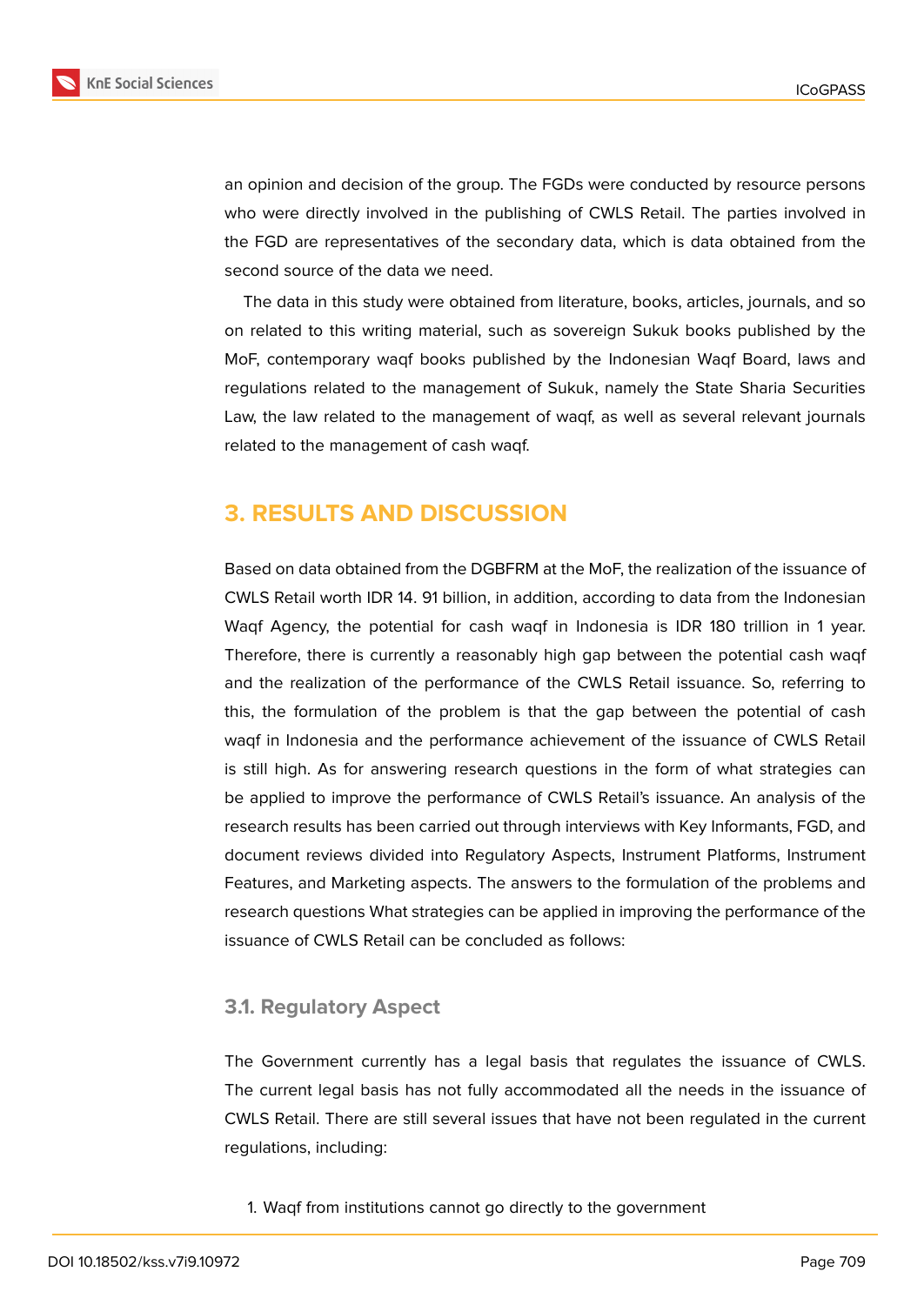

an opinion and decision of the group. The FGDs were conducted by resource persons who were directly involved in the publishing of CWLS Retail. The parties involved in the FGD are representatives of the secondary data, which is data obtained from the second source of the data we need.

The data in this study were obtained from literature, books, articles, journals, and so on related to this writing material, such as sovereign Sukuk books published by the MoF, contemporary waqf books published by the Indonesian Waqf Board, laws and regulations related to the management of Sukuk, namely the State Sharia Securities Law, the law related to the management of waqf, as well as several relevant journals related to the management of cash waqf.

## **3. RESULTS AND DISCUSSION**

Based on data obtained from the DGBFRM at the MoF, the realization of the issuance of CWLS Retail worth IDR 14. 91 billion, in addition, according to data from the Indonesian Waqf Agency, the potential for cash waqf in Indonesia is IDR 180 trillion in 1 year. Therefore, there is currently a reasonably high gap between the potential cash waqf and the realization of the performance of the CWLS Retail issuance. So, referring to this, the formulation of the problem is that the gap between the potential of cash waqf in Indonesia and the performance achievement of the issuance of CWLS Retail is still high. As for answering research questions in the form of what strategies can be applied to improve the performance of CWLS Retail's issuance. An analysis of the research results has been carried out through interviews with Key Informants, FGD, and document reviews divided into Regulatory Aspects, Instrument Platforms, Instrument Features, and Marketing aspects. The answers to the formulation of the problems and research questions What strategies can be applied in improving the performance of the issuance of CWLS Retail can be concluded as follows:

#### **3.1. Regulatory Aspect**

The Government currently has a legal basis that regulates the issuance of CWLS. The current legal basis has not fully accommodated all the needs in the issuance of CWLS Retail. There are still several issues that have not been regulated in the current regulations, including:

1. Waqf from institutions cannot go directly to the government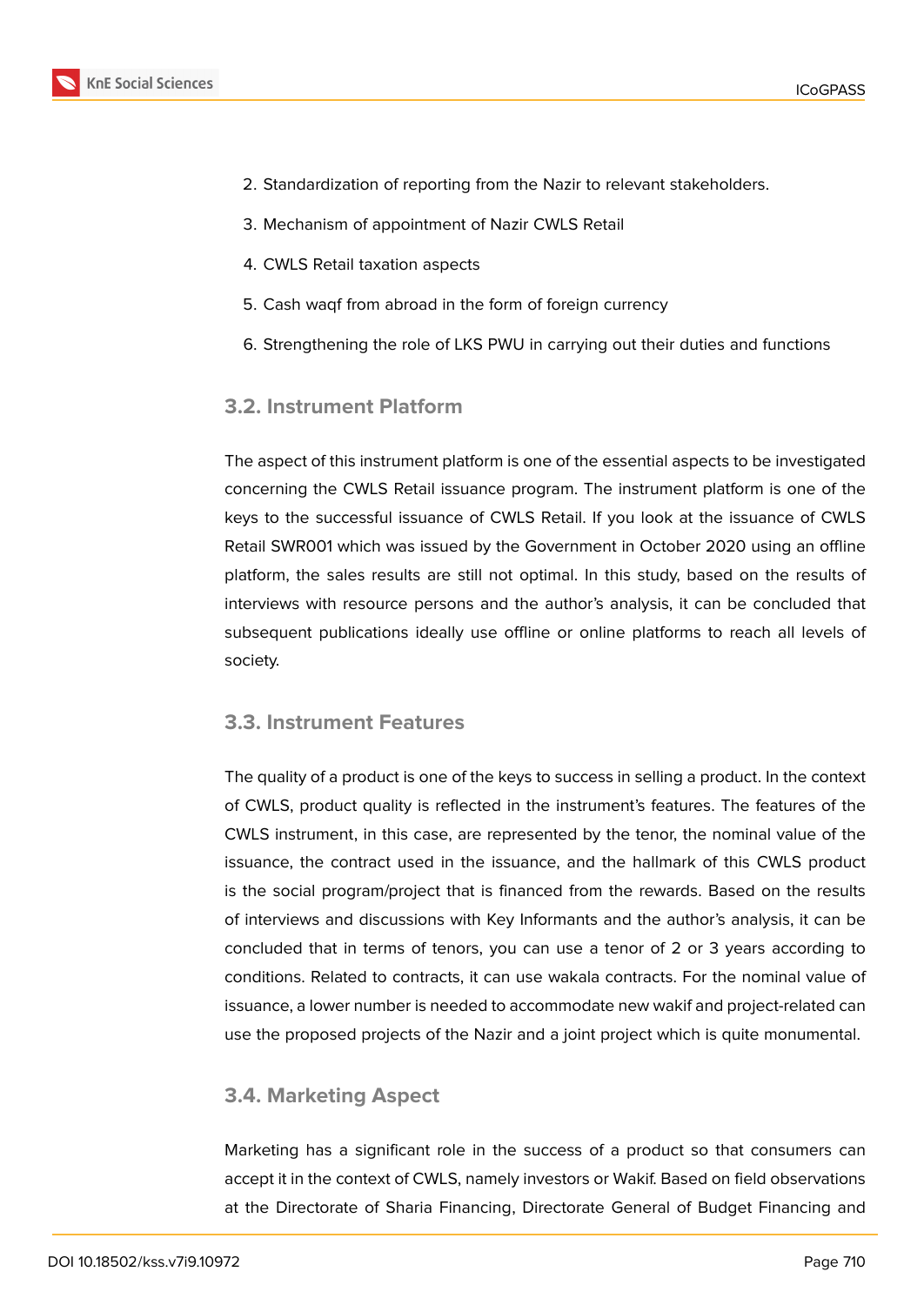

- 2. Standardization of reporting from the Nazir to relevant stakeholders.
- 3. Mechanism of appointment of Nazir CWLS Retail
- 4. CWLS Retail taxation aspects
- 5. Cash waqf from abroad in the form of foreign currency
- 6. Strengthening the role of LKS PWU in carrying out their duties and functions

### **3.2. Instrument Platform**

The aspect of this instrument platform is one of the essential aspects to be investigated concerning the CWLS Retail issuance program. The instrument platform is one of the keys to the successful issuance of CWLS Retail. If you look at the issuance of CWLS Retail SWR001 which was issued by the Government in October 2020 using an offline platform, the sales results are still not optimal. In this study, based on the results of interviews with resource persons and the author's analysis, it can be concluded that subsequent publications ideally use offline or online platforms to reach all levels of society.

### **3.3. Instrument Features**

The quality of a product is one of the keys to success in selling a product. In the context of CWLS, product quality is reflected in the instrument's features. The features of the CWLS instrument, in this case, are represented by the tenor, the nominal value of the issuance, the contract used in the issuance, and the hallmark of this CWLS product is the social program/project that is financed from the rewards. Based on the results of interviews and discussions with Key Informants and the author's analysis, it can be concluded that in terms of tenors, you can use a tenor of 2 or 3 years according to conditions. Related to contracts, it can use wakala contracts. For the nominal value of issuance, a lower number is needed to accommodate new wakif and project-related can use the proposed projects of the Nazir and a joint project which is quite monumental.

### **3.4. Marketing Aspect**

Marketing has a significant role in the success of a product so that consumers can accept it in the context of CWLS, namely investors or Wakif. Based on field observations at the Directorate of Sharia Financing, Directorate General of Budget Financing and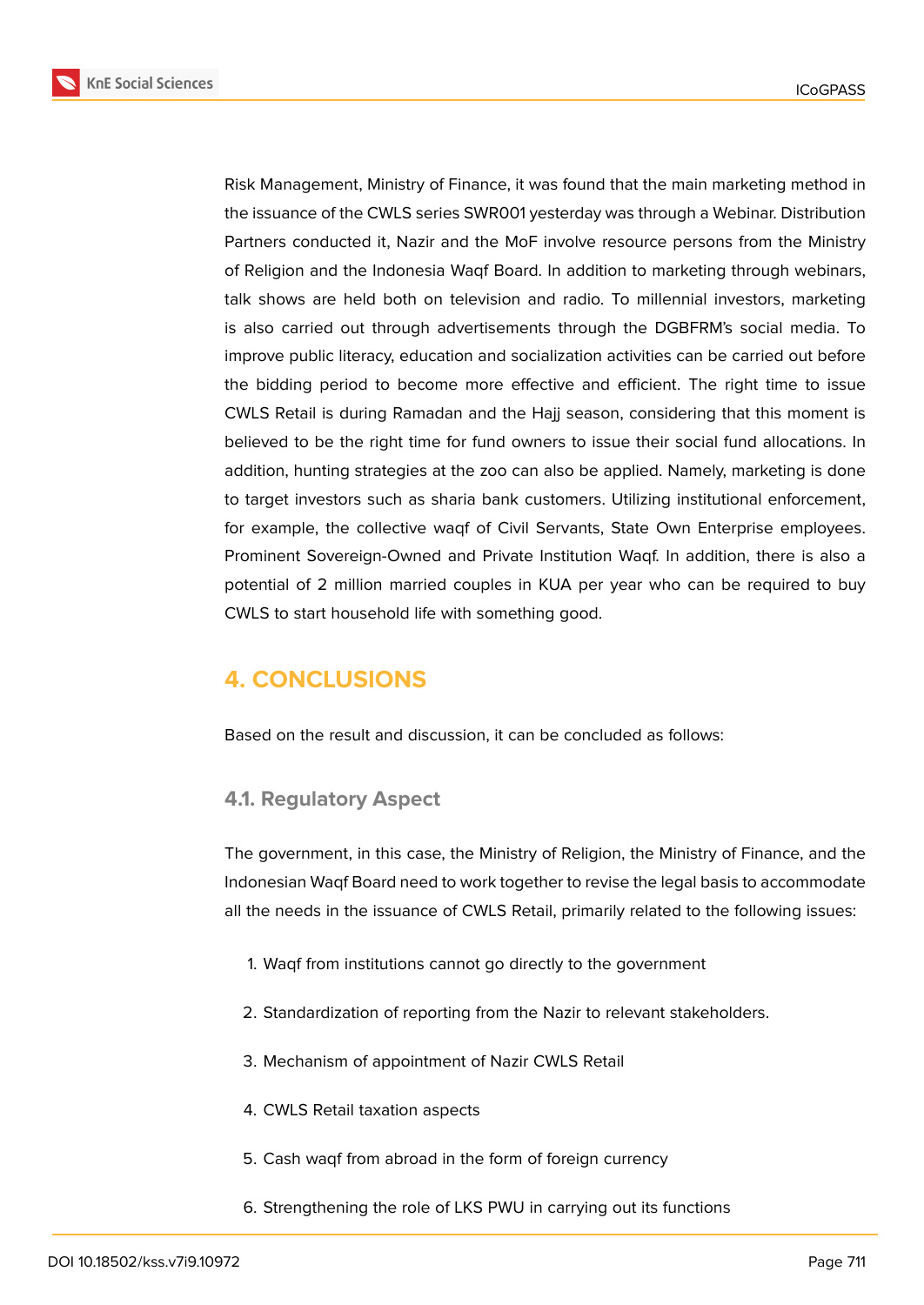**KnE Social Sciences** 



Risk Management, Ministry of Finance, it was found that the main marketing method in the issuance of the CWLS series SWR001 yesterday was through a Webinar. Distribution Partners conducted it, Nazir and the MoF involve resource persons from the Ministry of Religion and the Indonesia Waqf Board. In addition to marketing through webinars, talk shows are held both on television and radio. To millennial investors, marketing is also carried out through advertisements through the DGBFRM's social media. To improve public literacy, education and socialization activities can be carried out before the bidding period to become more effective and efficient. The right time to issue CWLS Retail is during Ramadan and the Hajj season, considering that this moment is believed to be the right time for fund owners to issue their social fund allocations. In addition, hunting strategies at the zoo can also be applied. Namely, marketing is done to target investors such as sharia bank customers. Utilizing institutional enforcement, for example, the collective waqf of Civil Servants, State Own Enterprise employees. Prominent Sovereign-Owned and Private Institution Waqf. In addition, there is also a potential of 2 million married couples in KUA per year who can be required to buy CWLS to start household life with something good.

## **4. CONCLUSIONS**

Based on the result and discussion, it can be concluded as follows:

### **4.1. Regulatory Aspect**

The government, in this case, the Ministry of Religion, the Ministry of Finance, and the Indonesian Waqf Board need to work together to revise the legal basis to accommodate all the needs in the issuance of CWLS Retail, primarily related to the following issues:

- 1. Waqf from institutions cannot go directly to the government
- 2. Standardization of reporting from the Nazir to relevant stakeholders.
- 3. Mechanism of appointment of Nazir CWLS Retail
- 4. CWLS Retail taxation aspects
- 5. Cash waqf from abroad in the form of foreign currency
- 6. Strengthening the role of LKS PWU in carrying out its functions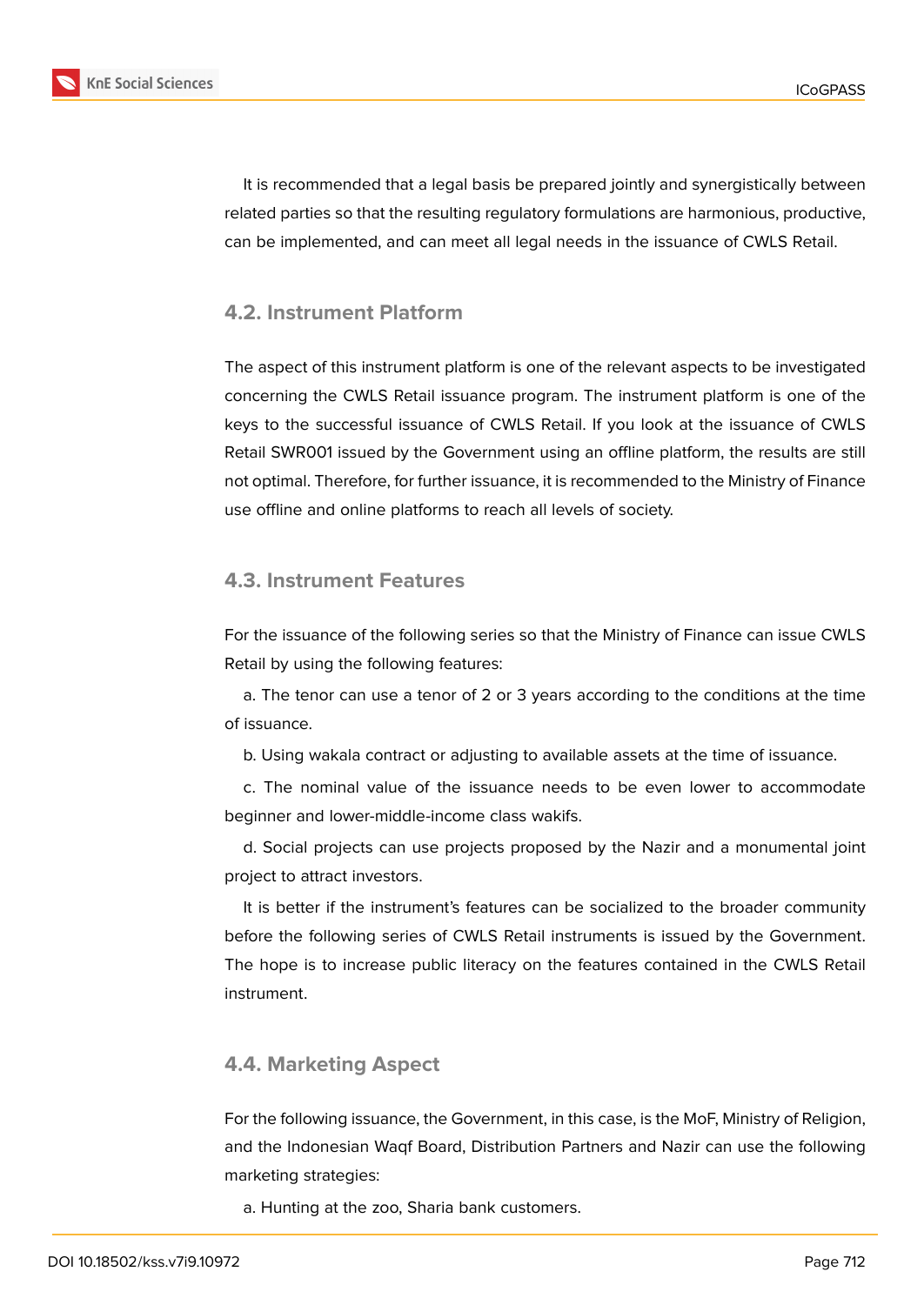



It is recommended that a legal basis be prepared jointly and synergistically between related parties so that the resulting regulatory formulations are harmonious, productive, can be implemented, and can meet all legal needs in the issuance of CWLS Retail.

### **4.2. Instrument Platform**

The aspect of this instrument platform is one of the relevant aspects to be investigated concerning the CWLS Retail issuance program. The instrument platform is one of the keys to the successful issuance of CWLS Retail. If you look at the issuance of CWLS Retail SWR001 issued by the Government using an offline platform, the results are still not optimal. Therefore, for further issuance, it is recommended to the Ministry of Finance use offline and online platforms to reach all levels of society.

### **4.3. Instrument Features**

For the issuance of the following series so that the Ministry of Finance can issue CWLS Retail by using the following features:

a. The tenor can use a tenor of 2 or 3 years according to the conditions at the time of issuance.

b. Using wakala contract or adjusting to available assets at the time of issuance.

c. The nominal value of the issuance needs to be even lower to accommodate beginner and lower-middle-income class wakifs.

d. Social projects can use projects proposed by the Nazir and a monumental joint project to attract investors.

It is better if the instrument's features can be socialized to the broader community before the following series of CWLS Retail instruments is issued by the Government. The hope is to increase public literacy on the features contained in the CWLS Retail instrument.

### **4.4. Marketing Aspect**

For the following issuance, the Government, in this case, is the MoF, Ministry of Religion, and the Indonesian Waqf Board, Distribution Partners and Nazir can use the following marketing strategies:

a. Hunting at the zoo, Sharia bank customers.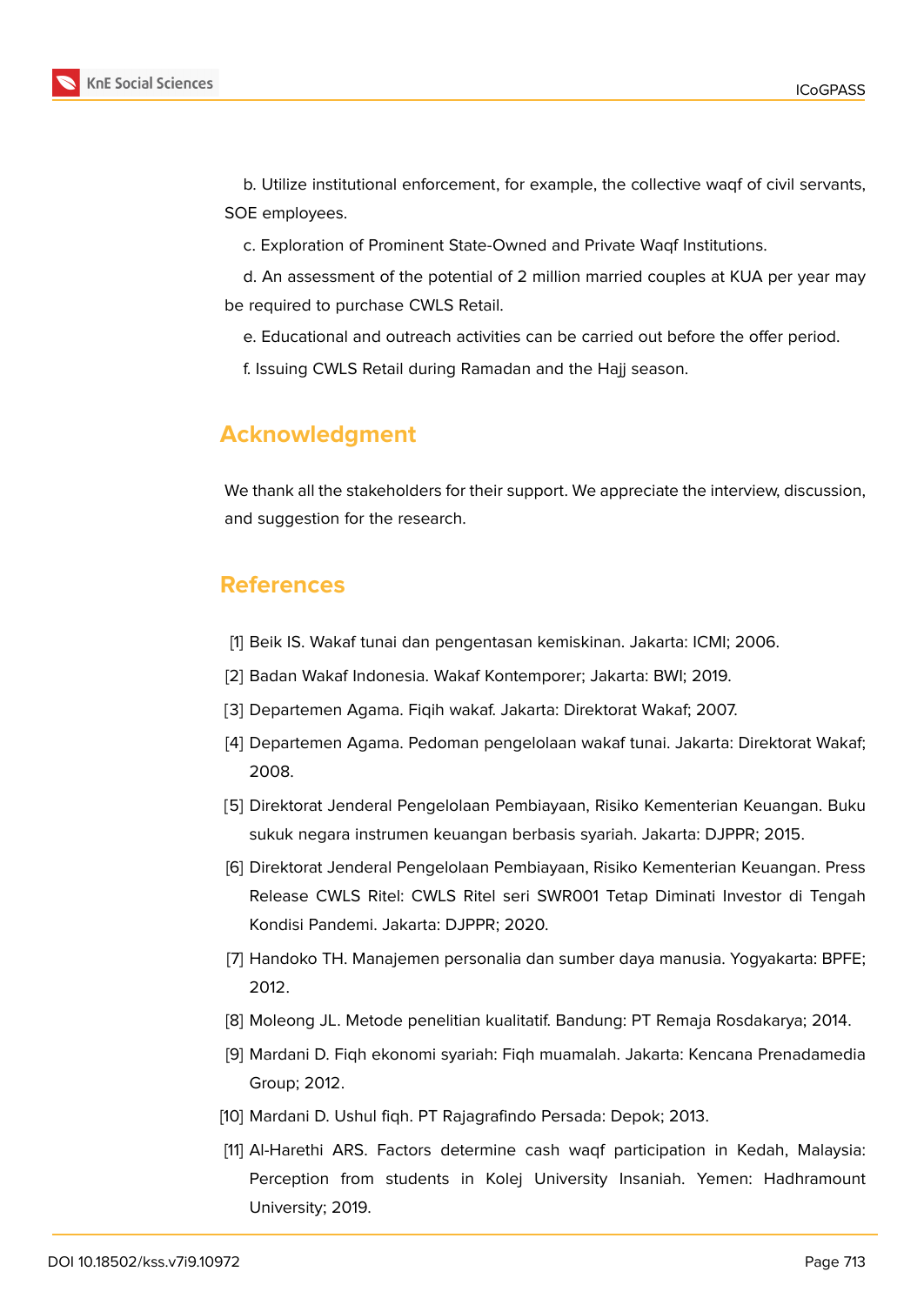

b. Utilize institutional enforcement, for example, the collective waqf of civil servants, SOE employees.

c. Exploration of Prominent State-Owned and Private Waqf Institutions.

d. An assessment of the potential of 2 million married couples at KUA per year may be required to purchase CWLS Retail.

- e. Educational and outreach activities can be carried out before the offer period.
- f. Issuing CWLS Retail during Ramadan and the Hajj season.

## **Acknowledgment**

We thank all the stakeholders for their support. We appreciate the interview, discussion, and suggestion for the research.

## **References**

- [1] Beik IS. Wakaf tunai dan pengentasan kemiskinan. Jakarta: ICMI; 2006.
- [2] Badan Wakaf Indonesia. Wakaf Kontemporer; Jakarta: BWI; 2019.
- [3] Departemen Agama. Fiqih wakaf. Jakarta: Direktorat Wakaf; 2007.
- [4] Departemen Agama. Pedoman pengelolaan wakaf tunai. Jakarta: Direktorat Wakaf; 2008.
- [5] Direktorat Jenderal Pengelolaan Pembiayaan, Risiko Kementerian Keuangan. Buku sukuk negara instrumen keuangan berbasis syariah. Jakarta: DJPPR; 2015.
- [6] Direktorat Jenderal Pengelolaan Pembiayaan, Risiko Kementerian Keuangan. Press Release CWLS Ritel: CWLS Ritel seri SWR001 Tetap Diminati Investor di Tengah Kondisi Pandemi. Jakarta: DJPPR; 2020.
- [7] Handoko TH. Manajemen personalia dan sumber daya manusia. Yogyakarta: BPFE; 2012.
- [8] Moleong JL. Metode penelitian kualitatif. Bandung: PT Remaja Rosdakarya; 2014.
- [9] Mardani D. Fiqh ekonomi syariah: Fiqh muamalah. Jakarta: Kencana Prenadamedia Group; 2012.
- [10] Mardani D. Ushul fiqh. PT Rajagrafindo Persada: Depok; 2013.
- [11] Al-Harethi ARS. Factors determine cash waqf participation in Kedah, Malaysia: Perception from students in Kolej University Insaniah. Yemen: Hadhramount University; 2019.